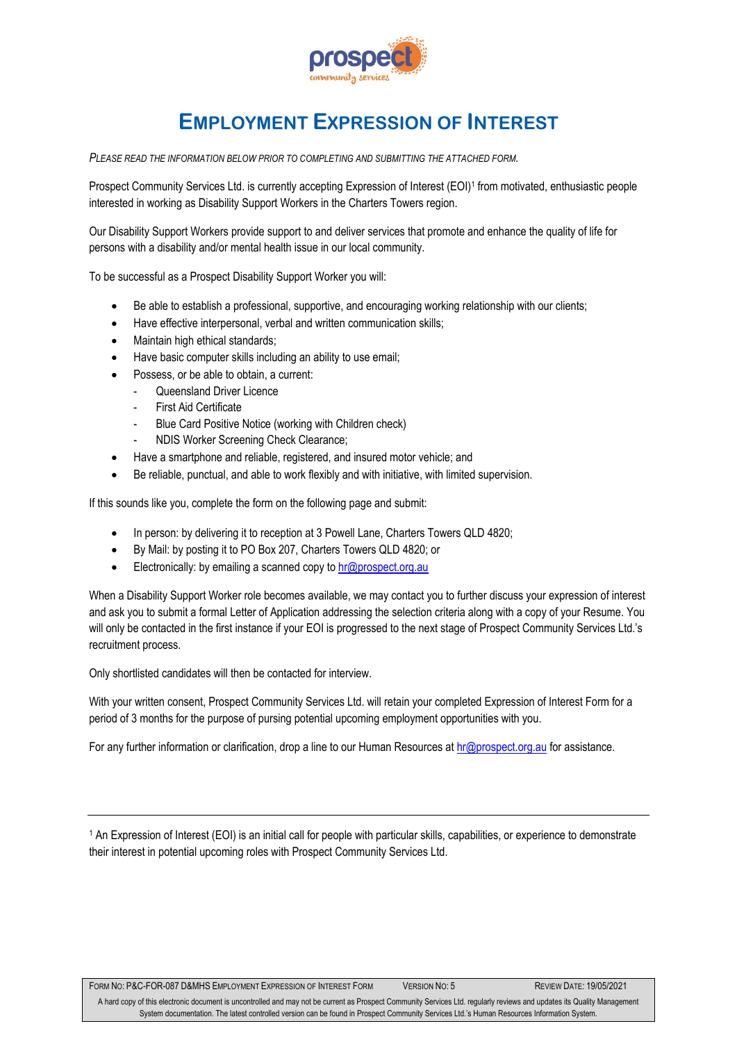

## **EMPLOYMENT EXPRESSION OF INTEREST**

*PLEASE READ THE INFORMATION BELOW PRIOR TO COMPLETING AND SUBMITTING THE ATTACHED FORM.*

Prospect Community Services Ltd. is currently accepting Expression of Interest (EOI)<sup>1</sup> from motivated, enthusiastic people interested in working as Disability Support Workers in the Charters Towers region.

Our Disability Support Workers provide support to and deliver services that promote and enhance the quality of life for persons with a disability and/or mental health issue in our local community.

To be successful as a Prospect Disability Support Worker you will:

- Be able to establish a professional, supportive, and encouraging working relationship with our clients;
- Have effective interpersonal, verbal and written communication skills;
- Maintain high ethical standards;
- Have basic computer skills including an ability to use email;
- Possess, or be able to obtain, a current:
	- Queensland Driver Licence
	- First Aid Certificate
	- Blue Card Positive Notice (working with Children check)
	- NDIS Worker Screening Check Clearance;
- Have a smartphone and reliable, registered, and insured motor vehicle; and
- Be reliable, punctual, and able to work flexibly and with initiative, with limited supervision.

If this sounds like you, complete the form on the following page and submit:

- In person: by delivering it to reception at 3 Powell Lane, Charters Towers QLD 4820;
- By Mail: by posting it to PO Box 207, Charters Towers QLD 4820; or
- Electronically: by emailing a scanned copy to  $hr@prospect.org.au$

When a Disability Support Worker role becomes available, we may contact you to further discuss your expression of interest and ask you to submit a formal Letter of Application addressing the selection criteria along with a copy of your Resume. You will only be contacted in the first instance if your EOI is progressed to the next stage of Prospect Community Services Ltd.'s recruitment process.

Only shortlisted candidates will then be contacted for interview.

With your written consent, Prospect Community Services Ltd. will retain your completed Expression of Interest Form for a period of 3 months for the purpose of pursing potential upcoming employment opportunities with you.

For any further information or clarification, drop a line to our Human Resources at [hr@prospect.org.au](mailto:hr@prospect.org.au) for assistance.

<sup>1</sup> An Expression of Interest (EOI) is an initial call for people with particular skills, capabilities, or experience to demonstrate their interest in potential upcoming roles with Prospect Community Services Ltd.

FORM NO: P&C-FOR-087 D&MHS EMPLOYMENT EXPRESSION OF INTEREST FORM VERSION NO: 5 REVIEW DATE: 19/05/2021

A hard copy of this electronic document is uncontrolled and may not be current as Prospect Community Services Ltd. regularly reviews and updates its Quality Management System documentation. The latest controlled version can be found in Prospect Community Services Ltd.'s Human Resources Information System.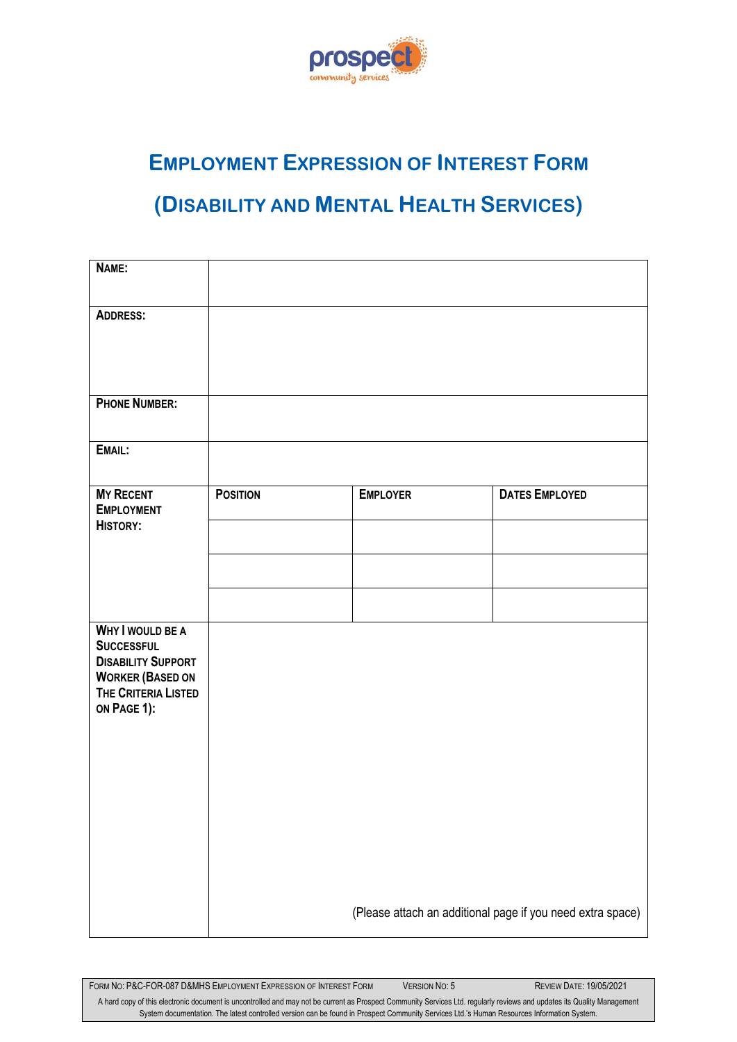

## **EMPLOYMENT EXPRESSION OF INTEREST FORM**

## **(DISABILITY AND MENTAL HEALTH SERVICES)**

| NAME:                                                                                                           |                 |                                                            |                       |  |  |  |  |
|-----------------------------------------------------------------------------------------------------------------|-----------------|------------------------------------------------------------|-----------------------|--|--|--|--|
| <b>ADDRESS:</b>                                                                                                 |                 |                                                            |                       |  |  |  |  |
| <b>PHONE NUMBER:</b>                                                                                            |                 |                                                            |                       |  |  |  |  |
| EMAIL:                                                                                                          |                 |                                                            |                       |  |  |  |  |
| <b>MY RECENT</b><br><b>EMPLOYMENT</b><br><b>HISTORY:</b>                                                        | <b>POSITION</b> | <b>EMPLOYER</b>                                            | <b>DATES EMPLOYED</b> |  |  |  |  |
|                                                                                                                 |                 |                                                            |                       |  |  |  |  |
|                                                                                                                 |                 |                                                            |                       |  |  |  |  |
| <b>WHY I WOULD BE A</b>                                                                                         |                 |                                                            |                       |  |  |  |  |
| <b>SUCCESSFUL</b><br><b>DISABILITY SUPPORT</b><br><b>WORKER (BASED ON</b><br>THE CRITERIA LISTED<br>ON PAGE 1): |                 |                                                            |                       |  |  |  |  |
|                                                                                                                 |                 |                                                            |                       |  |  |  |  |
|                                                                                                                 |                 |                                                            |                       |  |  |  |  |
|                                                                                                                 |                 |                                                            |                       |  |  |  |  |
|                                                                                                                 |                 | (Please attach an additional page if you need extra space) |                       |  |  |  |  |

FORM NO: P&C-FOR-087 D&MHS EMPLOYMENT EXPRESSION OF INTEREST FORM VERSION NO: 5 REVIEW DATE: 19/05/2021

A hard copy of this electronic document is uncontrolled and may not be current as Prospect Community Services Ltd. regularly reviews and updates its Quality Management System documentation. The latest controlled version can be found in Prospect Community Services Ltd.'s Human Resources Information System.